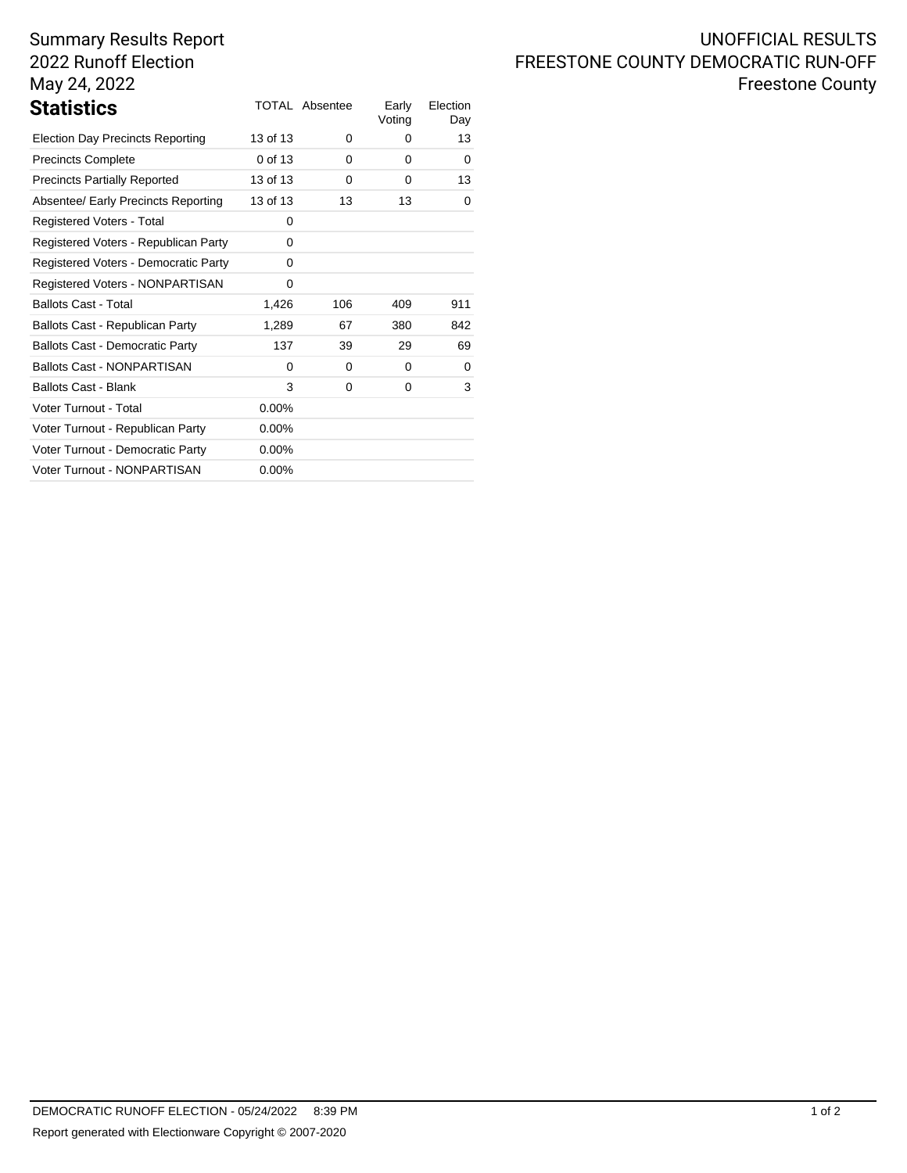# Summary Results Report 2022 Runoff Election May 24, 2022

|          |     | Early<br>Voting       | Election<br>Day |
|----------|-----|-----------------------|-----------------|
| 13 of 13 | 0   | 0                     | 13              |
| 0 of 13  | 0   | 0                     | 0               |
| 13 of 13 | 0   | 0                     | 13              |
| 13 of 13 | 13  | 13                    | 0               |
| 0        |     |                       |                 |
| 0        |     |                       |                 |
| 0        |     |                       |                 |
| 0        |     |                       |                 |
| 1,426    | 106 | 409                   | 911             |
| 1,289    | 67  | 380                   | 842             |
| 137      | 39  | 29                    | 69              |
| $\Omega$ | 0   | 0                     | 0               |
| 3        | 0   | 0                     | 3               |
| 0.00%    |     |                       |                 |
| $0.00\%$ |     |                       |                 |
| $0.00\%$ |     |                       |                 |
| $0.00\%$ |     |                       |                 |
|          |     | <b>TOTAL Absentee</b> |                 |

# UNOFFICIAL RESULTS FREESTONE COUNTY DEMOCRATIC RUN-OFF Freestone County